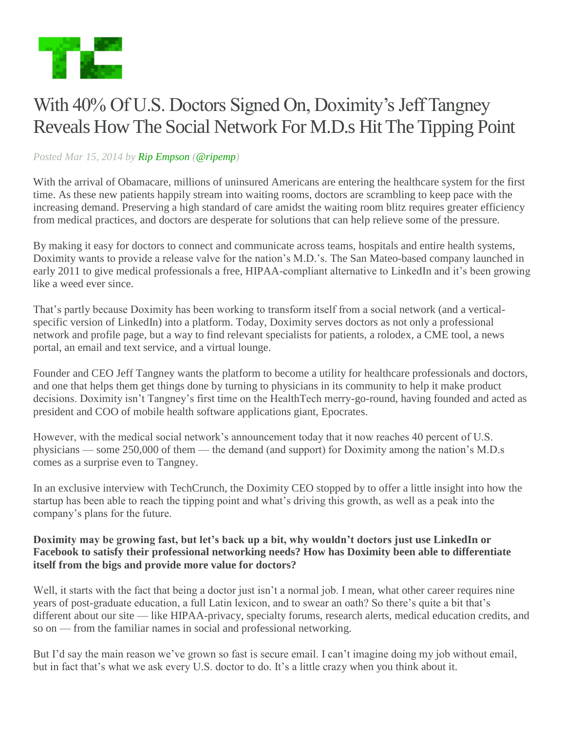

# With 40% Of U.S. Doctors Signed On, Doximity's Jeff Tangney Reveals How The Social Network For M.D.s Hit The Tipping Point

## *Posted Mar 15, 2014 by Rip Empson (@ripemp)*

With the arrival of Obamacare, millions of uninsured Americans are entering the healthcare system for the first time. As these new patients happily stream into waiting rooms, doctors are scrambling to keep pace with the increasing demand. Preserving a high standard of care amidst the waiting room blitz requires greater efficiency from medical practices, and doctors are desperate for solutions that can help relieve some of the pressure.

By making it easy for doctors to connect and communicate across teams, hospitals and entire health systems, Doximity wants to provide a release valve for the nation's M.D.'s. The San Mateo-based company launched in early 2011 to give medical professionals a free, HIPAA-compliant alternative to LinkedIn and it's been growing like a weed ever since.

That's partly because Doximity has been working to transform itself from a social network (and a verticalspecific version of LinkedIn) into a platform. Today, Doximity serves doctors as not only a professional network and profile page, but a way to find relevant specialists for patients, a rolodex, a CME tool, a news portal, an email and text service, and a virtual lounge.

Founder and CEO Jeff Tangney wants the platform to become a utility for healthcare professionals and doctors, and one that helps them get things done by turning to physicians in its community to help it make product decisions. Doximity isn't Tangney's first time on the HealthTech merry-go-round, having founded and acted as president and COO of mobile health software applications giant, Epocrates.

However, with the medical social network's announcement today that it now reaches 40 percent of U.S. physicians — some 250,000 of them — the demand (and support) for Doximity among the nation's M.D.s comes as a surprise even to Tangney.

In an exclusive interview with TechCrunch, the Doximity CEO stopped by to offer a little insight into how the startup has been able to reach the tipping point and what's driving this growth, as well as a peak into the company's plans for the future.

#### **Doximity may be growing fast, but let's back up a bit, why wouldn't doctors just use LinkedIn or Facebook to satisfy their professional networking needs? How has Doximity been able to differentiate itself from the bigs and provide more value for doctors?**

Well, it starts with the fact that being a doctor just isn't a normal job. I mean, what other career requires nine years of post-graduate education, a full Latin lexicon, and to swear an oath? So there's quite a bit that's different about our site — like HIPAA-privacy, specialty forums, research alerts, medical education credits, and so on — from the familiar names in social and professional networking.

But I'd say the main reason we've grown so fast is secure email. I can't imagine doing my job without email, but in fact that's what we ask every U.S. doctor to do. It's a little crazy when you think about it.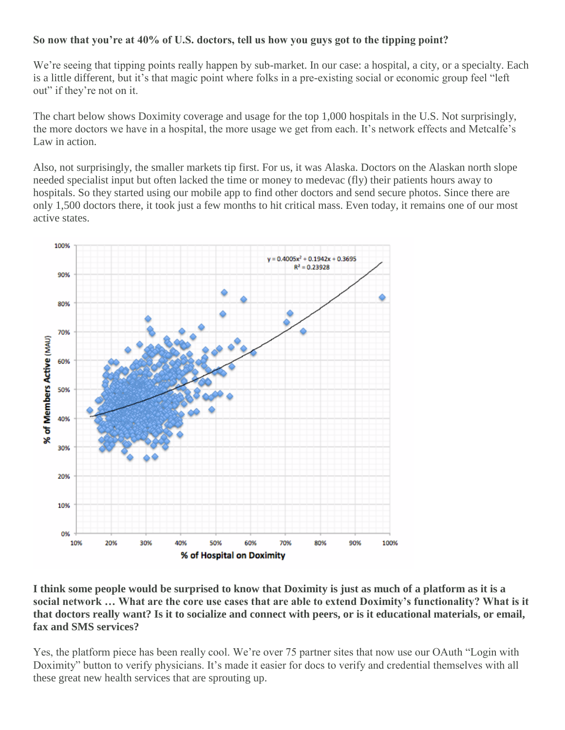# **So now that you're at 40% of U.S. doctors, tell us how you guys got to the tipping point?**

We're seeing that tipping points really happen by sub-market. In our case: a hospital, a city, or a specialty. Each is a little different, but it's that magic point where folks in a pre-existing social or economic group feel "left out" if they're not on it.

The chart below shows Doximity coverage and usage for the top 1,000 hospitals in the U.S. Not surprisingly, the more doctors we have in a hospital, the more usage we get from each. It's network effects and Metcalfe's Law in action.

Also, not surprisingly, the smaller markets tip first. For us, it was Alaska. Doctors on the Alaskan north slope needed specialist input but often lacked the time or money to medevac (fly) their patients hours away to hospitals. So they started using our mobile app to find other doctors and send secure photos. Since there are only 1,500 doctors there, it took just a few months to hit critical mass. Even today, it remains one of our most active states.



**I think some people would be surprised to know that Doximity is just as much of a platform as it is a social network … What are the core use cases that are able to extend Doximity's functionality? What is it that doctors really want? Is it to socialize and connect with peers, or is it educational materials, or email, fax and SMS services?** 

Yes, the platform piece has been really cool. We're over 75 partner sites that now use our OAuth "Login with Doximity" button to verify physicians. It's made it easier for docs to verify and credential themselves with all these great new health services that are sprouting up.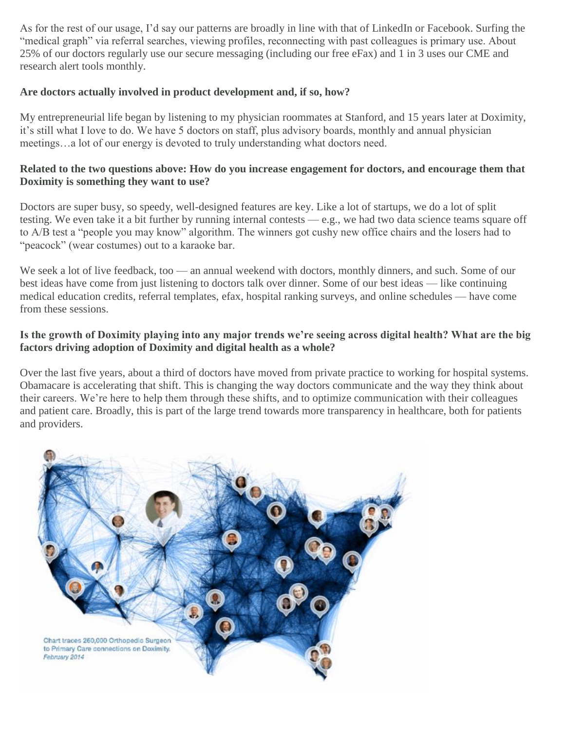As for the rest of our usage, I'd say our patterns are broadly in line with that of LinkedIn or Facebook. Surfing the "medical graph" via referral searches, viewing profiles, reconnecting with past colleagues is primary use. About 25% of our doctors regularly use our secure messaging (including our free eFax) and 1 in 3 uses our CME and research alert tools monthly.

#### **Are doctors actually involved in product development and, if so, how?**

My entrepreneurial life began by listening to my physician roommates at Stanford, and 15 years later at Doximity, it's still what I love to do. We have 5 doctors on staff, plus advisory boards, monthly and annual physician meetings…a lot of our energy is devoted to truly understanding what doctors need.

## **Related to the two questions above: How do you increase engagement for doctors, and encourage them that Doximity is something they want to use?**

Doctors are super busy, so speedy, well-designed features are key. Like a lot of startups, we do a lot of split testing. We even take it a bit further by running internal contests — e.g., we had two data science teams square off to A/B test a "people you may know" algorithm. The winners got cushy new office chairs and the losers had to "peacock" (wear costumes) out to a karaoke bar.

We seek a lot of live feedback, too — an annual weekend with doctors, monthly dinners, and such. Some of our best ideas have come from just listening to doctors talk over dinner. Some of our best ideas — like continuing medical education credits, referral templates, efax, hospital ranking surveys, and online schedules — have come from these sessions.

#### **Is the growth of Doximity playing into any major trends we're seeing across digital health? What are the big factors driving adoption of Doximity and digital health as a whole?**

Over the last five years, about a third of doctors have moved from private practice to working for hospital systems. Obamacare is accelerating that shift. This is changing the way doctors communicate and the way they think about their careers. We're here to help them through these shifts, and to optimize communication with their colleagues and patient care. Broadly, this is part of the large trend towards more transparency in healthcare, both for patients and providers.

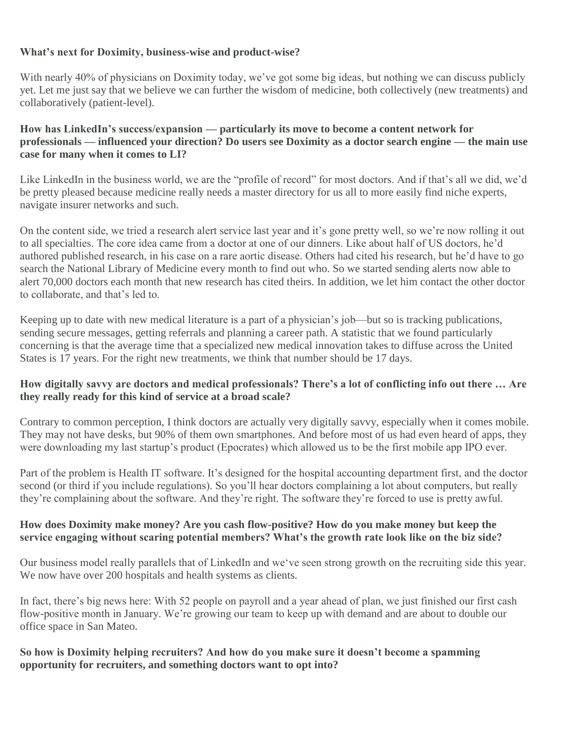# **What's next for Doximity, business-wise and product-wise?**

With nearly 40% of physicians on Doximity today, we've got some big ideas, but nothing we can discuss publicly yet. Let me just say that we believe we can further the wisdom of medicine, both collectively (new treatments) and collaboratively (patient-level).

#### **How has LinkedIn's success/expansion — particularly its move to become a content network for professionals — influenced your direction? Do users see Doximity as a doctor search engine — the main use case for many when it comes to LI?**

Like LinkedIn in the business world, we are the "profile of record" for most doctors. And if that's all we did, we'd be pretty pleased because medicine really needs a master directory for us all to more easily find niche experts, navigate insurer networks and such.

On the content side, we tried a research alert service last year and it's gone pretty well, so we're now rolling it out to all specialties. The core idea came from a doctor at one of our dinners. Like about half of US doctors, he'd authored published research, in his case on a rare aortic disease. Others had cited his research, but he'd have to go search the National Library of Medicine every month to find out who. So we started sending alerts now able to alert 70,000 doctors each month that new research has cited theirs. In addition, we let him contact the other doctor to collaborate, and that's led to.

Keeping up to date with new medical literature is a part of a physician's job—but so is tracking publications, sending secure messages, getting referrals and planning a career path. A statistic that we found particularly concerning is that the average time that a specialized new medical innovation takes to diffuse across the United States is 17 years. For the right new treatments, we think that number should be 17 days.

## **How digitally savvy are doctors and medical professionals? There's a lot of conflicting info out there … Are they really ready for this kind of service at a broad scale?**

Contrary to common perception, I think doctors are actually very digitally savvy, especially when it comes mobile. They may not have desks, but 90% of them own smartphones. And before most of us had even heard of apps, they were downloading my last startup's product (Epocrates) which allowed us to be the first mobile app IPO ever.

Part of the problem is Health IT software. It's designed for the hospital accounting department first, and the doctor second (or third if you include regulations). So you'll hear doctors complaining a lot about computers, but really they're complaining about the software. And they're right. The software they're forced to use is pretty awful.

## **How does Doximity make money? Are you cash flow-positive? How do you make money but keep the service engaging without scaring potential members? What's the growth rate look like on the biz side?**

Our business model really parallels that of LinkedIn and we've seen strong growth on the recruiting side this year. We now have over 200 hospitals and health systems as clients.

In fact, there's big news here: With 52 people on payroll and a year ahead of plan, we just finished our first cash flow-positive month in January. We're growing our team to keep up with demand and are about to double our office space in San Mateo.

## **So how is Doximity helping recruiters? And how do you make sure it doesn't become a spamming opportunity for recruiters, and something doctors want to opt into?**